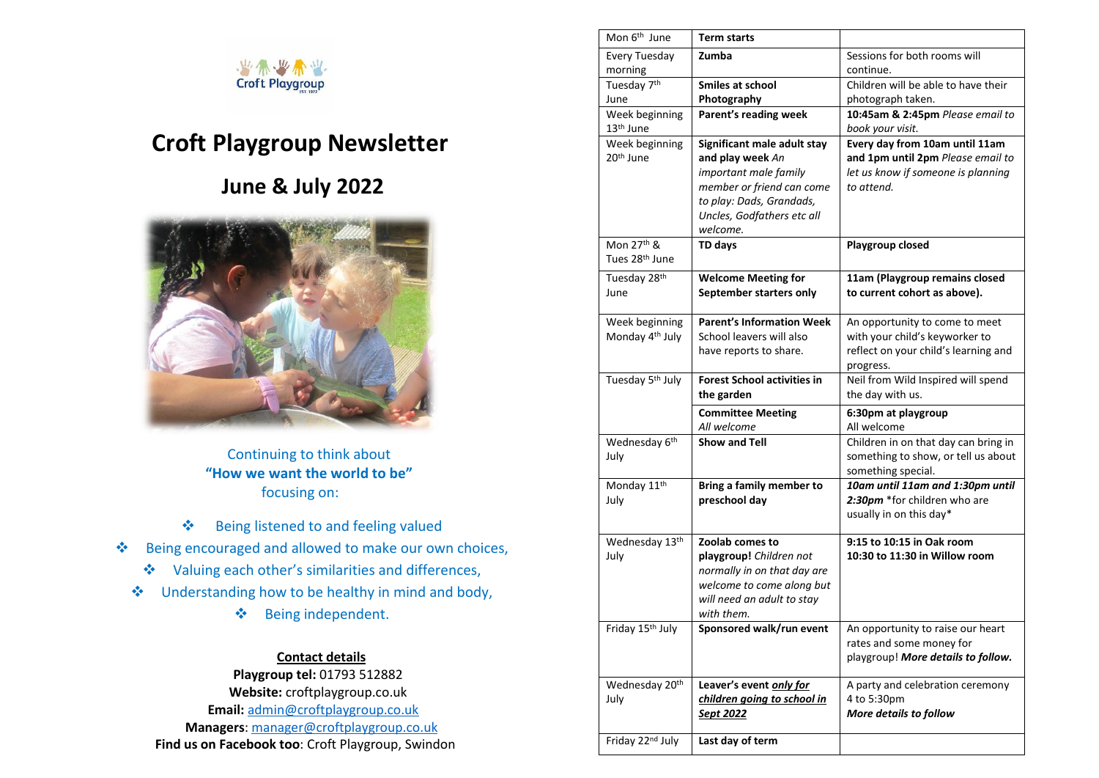

# **Croft Playgroup Newsletter**

## **June & July 2022**



 Continuing to think about  **"How we want the world to be"**  focusing on:

- $\triangle$  Being listened to and feeling valued
- Being encouraged and allowed to make our own choices,
	- Valuing each other's similarities and differences,
	- Understanding how to be healthy in mind and body,
		- Being independent.

### **Contact details**

 **Playgroup tel:** 01793 512882  **Website:** croftplaygroup.co.uk  **Email:** [admin@croftplaygroup.co.uk](mailto:admin@croftplaygroup.co.uk)   **Managers**: [manager@croftplaygroup.co.uk](mailto:manager@croftplaygroup.co.uk)  **Find us on Facebook too**: Croft Playgroup, Swindon

| Mon 6 <sup>th</sup> June     | <b>Term starts</b>                 |                                      |
|------------------------------|------------------------------------|--------------------------------------|
| Every Tuesday                | Zumba                              | Sessions for both rooms will         |
| morning                      |                                    | continue.                            |
| Tuesday 7 <sup>th</sup>      | <b>Smiles at school</b>            | Children will be able to have their  |
| June                         | Photography                        | photograph taken.                    |
| Week beginning               | Parent's reading week              | 10:45am & 2:45pm Please email to     |
| 13 <sup>th</sup> June        |                                    | book your visit.                     |
| Week beginning               | Significant male adult stay        | Every day from 10am until 11am       |
| 20 <sup>th</sup> June        | and play week An                   | and 1pm until 2pm Please email to    |
|                              | important male family              | let us know if someone is planning   |
|                              | member or friend can come          | to attend.                           |
|                              | to play: Dads, Grandads,           |                                      |
|                              | Uncles, Godfathers etc all         |                                      |
|                              | welcome.                           |                                      |
| Mon 27 <sup>th</sup> &       | TD days                            | Playgroup closed                     |
| Tues 28th June               |                                    |                                      |
| Tuesday 28th                 | <b>Welcome Meeting for</b>         | 11am (Playgroup remains closed       |
| June                         | September starters only            | to current cohort as above).         |
|                              |                                    |                                      |
| Week beginning               | <b>Parent's Information Week</b>   | An opportunity to come to meet       |
| Monday 4 <sup>th</sup> July  | School leavers will also           | with your child's keyworker to       |
|                              | have reports to share.             | reflect on your child's learning and |
|                              |                                    | progress.                            |
| Tuesday 5 <sup>th</sup> July | <b>Forest School activities in</b> | Neil from Wild Inspired will spend   |
|                              | the garden                         | the day with us.                     |
|                              | <b>Committee Meeting</b>           | 6:30pm at playgroup                  |
|                              | All welcome                        | All welcome                          |
| Wednesday 6th                | <b>Show and Tell</b>               | Children in on that day can bring in |
| July                         |                                    | something to show, or tell us about  |
|                              |                                    | something special.                   |
| Monday 11 <sup>th</sup>      | Bring a family member to           | 10am until 11am and 1:30pm until     |
| July                         | preschool day                      | 2:30pm *for children who are         |
|                              |                                    | usually in on this day*              |
|                              |                                    |                                      |
| Wednesday 13th               | Zoolab comes to                    | 9:15 to 10:15 in Oak room            |
| July                         | playgroup! Children not            | 10:30 to 11:30 in Willow room        |
|                              | normally in on that day are        |                                      |
|                              | welcome to come along but          |                                      |
|                              | will need an adult to stay         |                                      |
|                              | with them.                         |                                      |
| Friday 15 <sup>th</sup> July | Sponsored walk/run event           | An opportunity to raise our heart    |
|                              |                                    | rates and some money for             |
|                              |                                    | playgroup! More details to follow.   |
| Wednesday 20th               | Leaver's event only for            | A party and celebration ceremony     |
| July                         | children going to school in        | 4 to 5:30pm                          |
|                              | <u>Sept 2022</u>                   | More details to follow               |
|                              |                                    |                                      |
| Friday 22nd July             | Last day of term                   |                                      |
|                              |                                    |                                      |